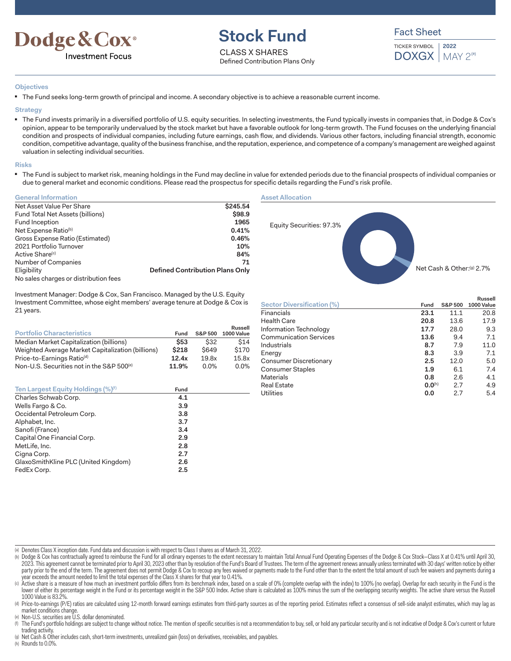

# **Stock Fund**

CLASS X SHARES Defined Contribution Plans Only Fact Sheet

TICKER SYMBOL  $\text{DOXGX}$  | MAY 2<sup>(a)</sup> **2022**

#### **Objectives**

■ The Fund seeks long-term growth of principal and income. A secondary objective is to achieve a reasonable current income.

**Strategy**

■ The Fund invests primarily in a diversified portfolio of U.S. equity securities. In selecting investments, the Fund typically invests in companies that, in Dodge & Cox's opinion, appear to be temporarily undervalued by the stock market but have a favorable outlook for long-term growth. The Fund focuses on the underlying financial condition and prospects of individual companies, including future earnings, cash flow, and dividends. Various other factors, including financial strength, economic condition, competitive advantage, quality of the business franchise, and the reputation, experience, and competence of a company's management are weighed against valuation in selecting individual securities.

#### **Risks**

The Fund is subject to market risk, meaning holdings in the Fund may decline in value for extended periods due to the financial prospects of individual companies or due to general market and economic conditions. Please read the prospectus for specific details regarding the Fund's risk profile.

| <b>General Information</b>            |                                        |
|---------------------------------------|----------------------------------------|
| Net Asset Value Per Share             | \$245.54                               |
| Fund Total Net Assets (billions)      | \$98.9                                 |
| Fund Inception                        | 1965                                   |
| Net Expense Ratio <sup>(b)</sup>      | 0.41%                                  |
| Gross Expense Ratio (Estimated)       | 0.46%                                  |
| 2021 Portfolio Turnover               | 10%                                    |
| Active Share <sup>(c)</sup>           | 84%                                    |
| Number of Companies                   | 71                                     |
| Eligibility                           | <b>Defined Contribution Plans Only</b> |
| No sales charges or distribution fees |                                        |

s or distribution fees

Investment Manager: Dodge & Cox, San Francisco. Managed by the U.S. Equity Investment Committee, whose eight members' average tenure at Dodge & Cox is 21 years.

| <b>Portfolio Characteristics</b>                      | Fund        | <b>S&amp;P 500</b> | Russell<br>1000 Value |
|-------------------------------------------------------|-------------|--------------------|-----------------------|
| Median Market Capitalization (billions)               | <b>\$53</b> | \$32               | \$14                  |
| Weighted Average Market Capitalization (billions)     | \$218       | <b>S649</b>        | \$170                 |
| Price-to-Earnings Ratio <sup>(d)</sup>                | 12.4x       | 19.8x              | 15.8x                 |
| Non-U.S. Securities not in the S&P 500 <sup>(e)</sup> | 11.9%       | $0.0\%$            | $0.0\%$               |

| Ten Largest Equity Holdings (%) <sup>(f)</sup> | Fund |  |
|------------------------------------------------|------|--|
| Charles Schwab Corp.                           | 4.1  |  |
| Wells Fargo & Co.                              | 3.9  |  |
| Occidental Petroleum Corp.                     | 3.8  |  |
| Alphabet, Inc.                                 | 3.7  |  |
| Sanofi (France)                                | 3.4  |  |
| Capital One Financial Corp.                    | 2.9  |  |
| MetLife, Inc.                                  | 2.8  |  |
| Cigna Corp.                                    | 2.7  |  |
| GlaxoSmithKline PLC (United Kingdom)           | 2.6  |  |
| FedEx Corp.                                    | 2.5  |  |

#### **Asset Allocation**



|                               |             |                    | Russell    |
|-------------------------------|-------------|--------------------|------------|
| Sector Diversification (%)    | Fund        | <b>S&amp;P 500</b> | 1000 Value |
| Financials                    | 23.1        | 11.1               | 20.8       |
| <b>Health Care</b>            | 20.8        | 13.6               | 17.9       |
| Information Technology        | 17.7        | 28.0               | 9.3        |
| <b>Communication Services</b> | 13.6        | 9.4                | 7.1        |
| Industrials                   | 8.7         | 7.9                | 11.0       |
| Energy                        | 8.3         | 3.9                | 7.1        |
| Consumer Discretionary        | 2.5         | 12.0               | 5.0        |
| Consumer Staples              | 1.9         | 6.1                | 7.4        |
| <b>Materials</b>              | 0.8         | 2.6                | 4.1        |
| <b>Real Estate</b>            | $0.0^{(h)}$ | 2.7                | 4.9        |
| <b>Utilities</b>              | 0.0         | 2.7                | 5.4        |
|                               |             |                    |            |

(a) Denotes Class X inception date. Fund data and discussion is with respect to Class I shares as of March 31, 2022.

(b) Dodge & Cox has contractually agreed to reimburse the Fund for all ordinary expenses to the extent necessary to maintain Total Annual Fund Operating Expenses of the Dodge & Cox Stock-Class X at 0.41% until April 30, 2023. This agreement cannot be terminated prior to April 30, 2023 other than by resolution of the Fund's Board of Trustees. The term of the agreement renews annually unless terminated with 30 days' written notice by either party prior to the end of the term. The agreement does not permit Dodge & Cox to recoup any fees waived or payments made to the Fund other than to the extent the total amount of such fee waivers and payments during a  $\mu$ ear exceeds the amount needed to limit the total expenses of the Class X shares for that year to 0.41%.

(c) Active share is a measure of how much an investment portfolio differs from its benchmark index, based on a scale of 0% (complete overlap with the index) to 100% (no overlap). Overlap for each security in the Fund is th lower of either its percentage weight in the Fund or its percentage weight in the S&P 500 Index. Active share is calculated as 100% minus the sum of the overlapping security weights. The active share versus the Russell 1000 Value is 83.29

(d) Price-to-earnings (P/E) ratios are calculated using 12-month forward earnings estimates from third-party sources as of the reporting period. Estimates reflect a consensus of sell-side analyst estimates, which may lag a market conditions change.

(e) Non-U.S. securities are U.S. dollar denominated.

(f) The Fund's portfolio holdings are subject to change without notice. The mention of specific securities is not a recommendation to buy, sell, or hold any particular security and is not indicative of Dodge & Cox's curren trading activity.

(g) Net Cash & Other includes cash, short-term investments, unrealized gain (loss) on derivatives, receivables, and payables.

(h) Rounds to 0.0%.